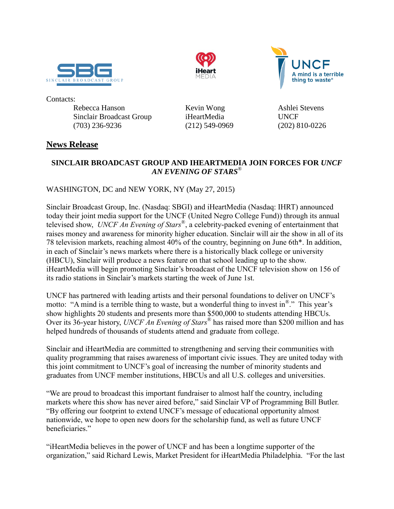





Contacts:

Rebecca Hanson **Kevin Wong** Ashlei Stevens Sinclair Broadcast Group iHeartMedia UNCF (703) 236-9236 (212) 549-0969 (202) 810-0226

# **News Release**

# **SINCLAIR BROADCAST GROUP AND IHEARTMEDIA JOIN FORCES FOR** *UNCF AN EVENING OF STARS*®

WASHINGTON, DC and NEW YORK, NY (May 27, 2015)

Sinclair Broadcast Group, Inc. (Nasdaq: SBGI) and iHeartMedia (Nasdaq: IHRT) announced today their joint media support for the UNCF (United Negro College Fund)) through its annual televised show, *UNCF An Evening of Stars*® , a celebrity-packed evening of entertainment that raises money and awareness for minority higher education. Sinclair will air the show in all of its 78 television markets, reaching almost 40% of the country, beginning on June 6th\*. In addition, in each of Sinclair's news markets where there is a historically black college or university (HBCU), Sinclair will produce a news feature on that school leading up to the show. iHeartMedia will begin promoting Sinclair's broadcast of the UNCF television show on 156 of its radio stations in Sinclair's markets starting the week of June 1st.

UNCF has partnered with leading artists and their personal foundations to deliver on UNCF's motto: "A mind is a terrible thing to waste, but a wonderful thing to invest in $^{\circledR}$ ." This year's show highlights 20 students and presents more than \$500,000 to students attending HBCUs. Over its 36-year history, *UNCF An Evening of Stars*® has raised more than \$200 million and has helped hundreds of thousands of students attend and graduate from college.

Sinclair and iHeartMedia are committed to strengthening and serving their communities with quality programming that raises awareness of important civic issues. They are united today with this joint commitment to UNCF's goal of increasing the number of minority students and graduates from UNCF member institutions, HBCUs and all U.S. colleges and universities.

"We are proud to broadcast this important fundraiser to almost half the country, including markets where this show has never aired before," said Sinclair VP of Programming Bill Butler. "By offering our footprint to extend UNCF's message of educational opportunity almost nationwide, we hope to open new doors for the scholarship fund, as well as future UNCF beneficiaries."

"iHeartMedia believes in the power of UNCF and has been a longtime supporter of the organization," said Richard Lewis, Market President for iHeartMedia Philadelphia. "For the last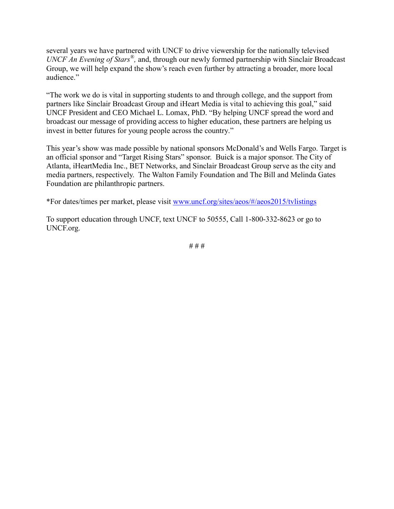several years we have partnered with UNCF to drive viewership for the nationally televised *UNCF An Evening of Stars<sup>®</sup>*, and, through our newly formed partnership with Sinclair Broadcast Group, we will help expand the show's reach even further by attracting a broader, more local audience."

"The work we do is vital in supporting students to and through college, and the support from partners like Sinclair Broadcast Group and iHeart Media is vital to achieving this goal," said UNCF President and CEO Michael L. Lomax, PhD. "By helping UNCF spread the word and broadcast our message of providing access to higher education, these partners are helping us invest in better futures for young people across the country."

This year's show was made possible by national sponsors McDonald's and Wells Fargo. Target is an official sponsor and "Target Rising Stars" sponsor. Buick is a major sponsor. The City of Atlanta, iHeartMedia Inc., BET Networks, and Sinclair Broadcast Group serve as the city and media partners, respectively. The Walton Family Foundation and The Bill and Melinda Gates Foundation are philanthropic partners.

\*For dates/times per market, please visit [www.uncf.org/sites/aeos/#/aeos2015/tvlistings](file:///C:/Users/rjhanson/AppData/Local/Microsoft/Windows/Temporary%20Internet%20Files/Content.Outlook/BJD4NJ38/www.uncf.org/sites/aeos/%23/aeos2015/tvlistings)

To support education through UNCF, text UNCF to 50555, Call 1-800-332-8623 or go to UNCF.org.

# # #